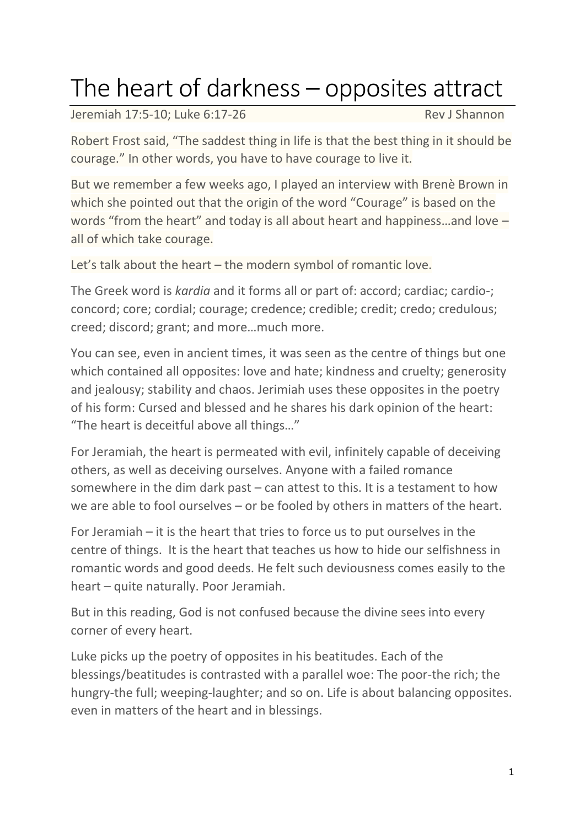## The heart of darkness – opposites attract

Jeremiah 17:5-10: Luke 6:17-26 Rev J Shannon

Robert Frost said, "The saddest thing in life is that the best thing in it should be courage." In other words, you have to have courage to live it.

But we remember a few weeks ago, I played an interview with Brenè Brown in which she pointed out that the origin of the word "Courage" is based on the words "from the heart" and today is all about heart and happiness…and love – all of which take courage.

Let's talk about the heart – the modern symbol of romantic love.

The Greek word is *kardia* and it forms all or part of: accord; cardiac; cardio-; concord; core; cordial; courage; credence; credible; credit; credo; credulous; creed; discord; grant; and more…much more.

You can see, even in ancient times, it was seen as the centre of things but one which contained all opposites: love and hate; kindness and cruelty; generosity and jealousy; stability and chaos. Jerimiah uses these opposites in the poetry of his form: Cursed and blessed and he shares his dark opinion of the heart: "The heart is deceitful above all things…"

For Jeramiah, the heart is permeated with evil, infinitely capable of deceiving others, as well as deceiving ourselves. Anyone with a failed romance somewhere in the dim dark past – can attest to this. It is a testament to how we are able to fool ourselves – or be fooled by others in matters of the heart.

For Jeramiah – it is the heart that tries to force us to put ourselves in the centre of things. It is the heart that teaches us how to hide our selfishness in romantic words and good deeds. He felt such deviousness comes easily to the heart – quite naturally. Poor Jeramiah.

But in this reading, God is not confused because the divine sees into every corner of every heart.

Luke picks up the poetry of opposites in his beatitudes. Each of the blessings/beatitudes is contrasted with a parallel woe: The poor-the rich; the hungry-the full; weeping-laughter; and so on. Life is about balancing opposites. even in matters of the heart and in blessings.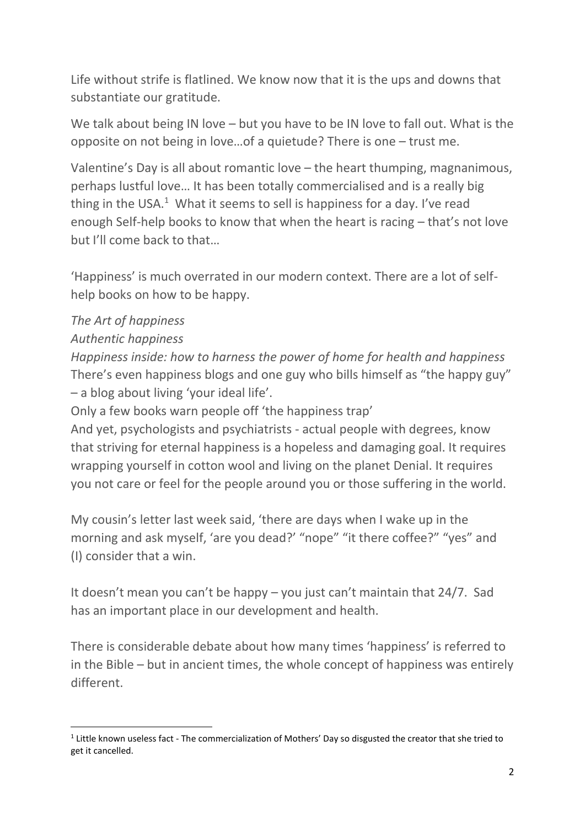Life without strife is flatlined. We know now that it is the ups and downs that substantiate our gratitude.

We talk about being IN love – but you have to be IN love to fall out. What is the opposite on not being in love…of a quietude? There is one – trust me.

Valentine's Day is all about romantic love – the heart thumping, magnanimous, perhaps lustful love… It has been totally commercialised and is a really big thing in the USA. $1$  What it seems to sell is happiness for a day. I've read enough Self-help books to know that when the heart is racing – that's not love but I'll come back to that…

'Happiness' is much overrated in our modern context. There are a lot of selfhelp books on how to be happy.

*The Art of happiness*

## *Authentic happiness*

*Happiness inside: how to harness the power of home for health and happiness* There's even happiness blogs and one guy who bills himself as "the happy guy" – a blog about living 'your ideal life'.

Only a few books warn people off 'the happiness trap'

And yet, psychologists and psychiatrists - actual people with degrees, know that striving for eternal happiness is a hopeless and damaging goal. It requires wrapping yourself in cotton wool and living on the planet Denial. It requires you not care or feel for the people around you or those suffering in the world.

My cousin's letter last week said, 'there are days when I wake up in the morning and ask myself, 'are you dead?' "nope" "it there coffee?" "yes" and (I) consider that a win.

It doesn't mean you can't be happy – you just can't maintain that 24/7. Sad has an important place in our development and health.

There is considerable debate about how many times 'happiness' is referred to in the Bible – but in ancient times, the whole concept of happiness was entirely different.

<sup>&</sup>lt;sup>1</sup> Little known useless fact - The commercialization of Mothers' Day so disgusted the creator that she tried to get it cancelled.